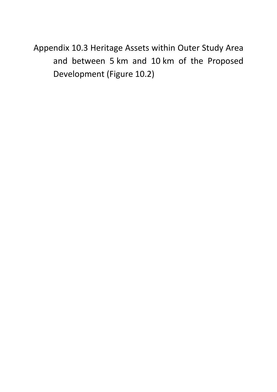Appendix 10.3 Heritage Assets within Outer Study Area and between 5 km and 10 km of the Proposed Development (Figure 10.2)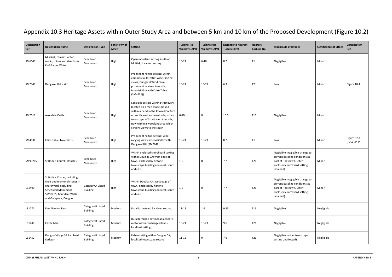## Appendix 10.3 Heritage Assets within Outer Study Area and between 5 km and 10 km of the Proposed Development (Figure 10.2)

| Designation<br>Ref | <b>Designation Name</b>                                                                                                                                                 | <b>Designation Type</b>              | Sensitivity of<br>Asset | Setting                                                                                                                                                                                                                                                  | <b>Turbine Tip</b><br><b>Visibility (ZTV)</b> | <b>Turbine Hub</b><br><b>Visibility (ZTV)</b> | <b>Distance to Nearest</b><br>Turbine (km) | <b>Nearest</b><br><b>Turbine No</b> | <b>Magnitude of Impact</b>                                                                                                                 | <b>Significance of Effect</b> | Visualisation<br>Ref        |
|--------------------|-------------------------------------------------------------------------------------------------------------------------------------------------------------------------|--------------------------------------|-------------------------|----------------------------------------------------------------------------------------------------------------------------------------------------------------------------------------------------------------------------------------------------------|-----------------------------------------------|-----------------------------------------------|--------------------------------------------|-------------------------------------|--------------------------------------------------------------------------------------------------------------------------------------------|-------------------------------|-----------------------------|
| SM6640             | Muirkirk, remains of tar<br>works, mines and structures<br>E of Garpel Water                                                                                            | Scheduled<br>Monument                | High                    | Open moorland setting south of<br>Muikirk; localised setting                                                                                                                                                                                             | $16 - 21$                                     | $6 - 10$                                      | 8.2                                        | T1                                  | Negligible                                                                                                                                 | Minor                         |                             |
| SM2848             | Dungavel Hill, cairn                                                                                                                                                    | Scheduled<br>Monument                | High                    | Prominent hilltop setting; within<br>commercial forestry; wide ranging<br>views; Dungavel Wind Farm<br>prominent in views to north;<br>intervisibility with Cairn Table<br>(SM4631))                                                                     | $16 - 21$                                     | $16 - 21$                                     | 6.3                                        | T7                                  | Low                                                                                                                                        | Minor                         | Figure 10.4                 |
| SM2619             | Avondale Castle                                                                                                                                                         | Scheduled<br>Monument                | High                    | Localised setting within Strathaven;<br>located on a man-made mound<br>within a bend in the Powmillon Burn<br>on south, east and west side; urban<br>townscape of Strathaven to north;<br>now within a woodland area which<br>screens views to the south | $6 - 10$                                      | $\mathbf 0$                                   | 10.0                                       | T16                                 | Negligible                                                                                                                                 | Minor                         |                             |
| SM4631             | Cairn Table, two cairns                                                                                                                                                 | Scheduled<br>Monument                | High                    | Prominent hilltop setting; wide<br>ranging views; intervisibility with<br>Dungavel Hill (SM2848)                                                                                                                                                         | $16 - 21$                                     | $16 - 21$                                     | 8.2                                        | T1                                  | Low                                                                                                                                        | Minor                         | Figure 6.53<br>(LVIA VP 15) |
| SM90265            | St Bride's Church, Douglas                                                                                                                                              | Scheduled<br>Monument                | High                    | Within enclosed churchyard setting<br>within Douglas CA; west edge of<br>town; enclosed by historic<br>townscape buildings on west, south<br>and east                                                                                                    | $1 - 5$                                       | $\mathbf 0$                                   | 7.7                                        | T21                                 | Negligible (negligible change to<br>current baseline conditions as<br>part of Hagshaw Cluster;<br>enclosed churchyard setting<br>retained) | Minor                         |                             |
| LB1490             | St Bride's Chapel, including<br>choir and memorial stones in<br>churchyard, excluding<br><b>Scheduled Monument</b><br>SM90265, Boundary Walls<br>and Gatepiers, Douglas | Category A Listed<br>Building        | High                    | Within Douglas CA; west edge of<br>town; enclosed by historic<br>townscape buildings on west, south<br>and east                                                                                                                                          | $1 - 5$                                       | $\mathsf{O}$                                  | 7.7                                        | T21                                 | Negligible (negligible change to<br>current baseline conditions as<br>part of Hagshaw Cluster;<br>enclosed churchyard setting<br>retained) | Minor                         |                             |
| LB1271             | East Newton Farm                                                                                                                                                        | Category B Listed<br><b>Building</b> | Medium                  | Rural farmstead; localised setting                                                                                                                                                                                                                       | $11 - 15$                                     | $1 - 5$                                       | 9.25                                       | T16                                 | Negligible                                                                                                                                 | Negligible                    |                             |
| LB1448             | Castle Mains                                                                                                                                                            | Category B Listed<br><b>Building</b> | Medium                  | Rural farmland setting; adjacent to<br>motorway interchange islands;<br>localised setting                                                                                                                                                                | $16 - 21$                                     | $16 - 21$                                     | 9.6                                        | T21                                 | Negligible                                                                                                                                 | Negligible                    |                             |
| LB1452             | Douglas Village 38 Ayr Road<br>Earlston                                                                                                                                 | Category B Listed<br><b>Building</b> | Medium                  | Urban setting within Douglas CA;<br>localised townscape setting                                                                                                                                                                                          | $11 - 15$                                     | 0                                             | 7.6                                        | T21                                 | Negligible (urban townscape<br>setting unaffected)                                                                                         | Negligible                    |                             |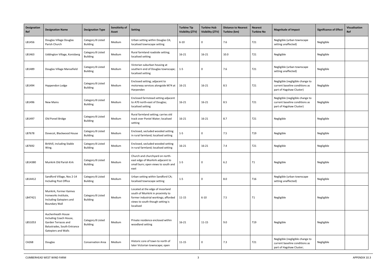| Designation<br>Ref | <b>Designation Name</b>                                                                                                  | <b>Designation Type</b>              | Sensitivity of<br>Asset | <b>Setting</b>                                                                                                                                                | <b>Turbine Tip</b><br><b>Visibility (ZTV)</b> | <b>Turbine Hub</b><br><b>Visibility (ZTV)</b> | <b>Distance to Nearest</b><br>Turbine (km) | <b>Nearest</b><br><b>Turbine No</b> | <b>Magnitude of Impact</b>                                                                     | <b>Significance of Effect</b> | Visualisation<br>Ref |
|--------------------|--------------------------------------------------------------------------------------------------------------------------|--------------------------------------|-------------------------|---------------------------------------------------------------------------------------------------------------------------------------------------------------|-----------------------------------------------|-----------------------------------------------|--------------------------------------------|-------------------------------------|------------------------------------------------------------------------------------------------|-------------------------------|----------------------|
| LB1456             | Douglas Village Douglas<br>Parish Church                                                                                 | Category B Listed<br><b>Building</b> | Medium                  | Urban setting within Douglas CA;<br>localised townscape setting                                                                                               | $6 - 10$                                      | 0                                             | 7.6                                        | T21                                 | Negligible (urban townscape<br>setting unaffected)                                             | Negligible                    |                      |
| LB1463             | Uddington Village, Konisberg                                                                                             | Category B Listed<br><b>Building</b> | Medium                  | Rural farmland roadside setting;<br>localised setting                                                                                                         | $16-21$                                       | $16 - 21$                                     | 10.0                                       | T21                                 | Negligible                                                                                     | Negligible                    |                      |
| LB1489             | Douglas Village Mansefield                                                                                               | Category B Listed<br><b>Building</b> | Medium                  | Victorian suburban housing at<br>southern end of Douglas townscape;<br>localised setting                                                                      | $1 - 5$                                       | 0                                             | 7.6                                        | T21                                 | Negligible (urban townscape<br>setting unaffected)                                             | Negligible                    |                      |
| LB1494             | Happendon Lodge                                                                                                          | Category B Listed<br><b>Building</b> | Medium                  | Enclosed setting; adjacent to<br>motorway services alongside M74 at<br>Harpenden                                                                              | 16-21                                         | $16 - 21$                                     | 8.5                                        | T21                                 | Negligible (negligible change to<br>current baseline conditions as<br>part of Hagshaw Cluster) | Negligible                    |                      |
| LB1496             | <b>New Mains</b>                                                                                                         | Category B Listed<br><b>Building</b> | Medium                  | Enclosed farmstead setting adjacent<br>to A70 north-east of Douglas;<br>localised setting                                                                     | $16 - 21$                                     | $16 - 21$                                     | 8.5                                        | T21                                 | Negligible (negligible change to<br>current baseline conditions as<br>part of Hagshaw Cluster) | Negligible                    |                      |
| LB1497             | Old Poneil Bridge                                                                                                        | Category B Listed<br><b>Building</b> | Medium                  | Rural farmland setting; carries old<br>track over Poniel Water; localised<br>setting                                                                          | $16 - 21$                                     | $16 - 21$                                     | 8.7                                        | T21                                 | Negligible                                                                                     | Negligible                    |                      |
| LB7678             | Dovecot, Blackwood House                                                                                                 | Category B Listed<br><b>Building</b> | Medium                  | Enclosed, secluded wooded setting<br>in rural farmland; localised setting                                                                                     | $1-5$                                         | 0                                             | 7.5                                        | T19                                 | Negligible                                                                                     | Negligible                    |                      |
| LB7692             | Birkhill, including Stable<br>Wing.                                                                                      | Category B Listed<br><b>Building</b> | Medium                  | Enclosed, secluded wooded setting<br>in rural farmland; localised setting                                                                                     | $16 - 21$                                     | $16 - 21$                                     | 7.4                                        | T21                                 | Negligible                                                                                     | Negligible                    |                      |
| LB14380            | Muirkirk Old Parish Kirk                                                                                                 | Category B Listed<br><b>Building</b> | Medium                  | Church and churchyard on north-<br>east edge of Muirkirk adjacent to<br>small burn; open views to south and<br>east                                           | $1 - 5$                                       | 0                                             | $6.2$                                      | T1                                  | Negligible                                                                                     | Negligible                    |                      |
| LB14412            | Sandford Village, Nos 2-14<br>Including Post Office                                                                      | Category B Listed<br><b>Building</b> | Medium                  | Urban setting within Sandford CA;<br>localised townscape setting                                                                                              | $1 - 5$                                       | 0                                             | 8.0                                        | T <sub>16</sub>                     | Negligible (urban townscape<br>setting unaffected)                                             | Negligible                    |                      |
| LB47421            | Muirkirk, Former Kaimes<br>Ironworks Institute,<br>Including Gatepiers and<br><b>Boundary Wall</b>                       | Category B Listed<br><b>Building</b> | Medium                  | Located at the edge of moorland<br>south of Muirkirk in proximity to<br>former industrial workings; afforded<br>views to south though setting is<br>localised | $11 - 15$                                     | $6 - 10$                                      | 7.5                                        | T1                                  | Negligible                                                                                     | Negligible                    |                      |
| LB51053            | Auchenheath House<br>Including Coach House,<br>Garden Terraces and<br>Balustrades, South Entrance<br>Gatepiers and Walls | Category B Listed<br><b>Building</b> | Medium                  | Private residence enclosed within<br>woodland setting                                                                                                         | $16 - 21$                                     | $11 - 15$                                     | 9.0                                        | T <sub>19</sub>                     | Negligible                                                                                     | Negligible                    |                      |
| CA268              | Douglas                                                                                                                  | <b>Conservation Area</b>             | Medium                  | Historic core of town to north of<br>later Victorian townscape; open                                                                                          | $11 - 15$                                     | 0                                             | 7.3                                        | T21                                 | Negligible (negligible change to<br>current baseline conditions as<br>part of Hagshaw Cluster; | Negligible                    |                      |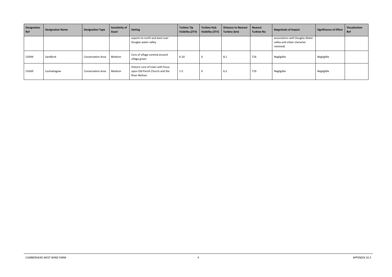| Designation<br>Ref | <b>Designation Name</b> | Designation Type         | Sensitivity of<br>Asset | <b>Setting</b>                                                                     | <b>Turbine Tip</b><br>Visibility (ZTV) | <b>Turbine Hub</b><br>Visibility (ZTV) | Distance to Nearest<br>Turbine (km) | <b>Nearest</b><br><b>Turbine No</b> | <b>Magnitude of Impact</b>                                                 | Significance of Effect | Visualisation<br>Ref |
|--------------------|-------------------------|--------------------------|-------------------------|------------------------------------------------------------------------------------|----------------------------------------|----------------------------------------|-------------------------------------|-------------------------------------|----------------------------------------------------------------------------|------------------------|----------------------|
|                    |                         |                          |                         | aspects to north and west over<br>Douglas water valley                             |                                        |                                        |                                     |                                     | associations with Douglas Water<br>valley and urban character<br>retained) |                        |                      |
| CA394              | Sandford                | <b>Conservation Area</b> | Medium                  | Core of village centred around<br>village green                                    | $6 - 10$                               | - 0                                    | 8.1                                 | T <sub>16</sub>                     | Negligible                                                                 | Negligible             |                      |
| CA269              | Lesmahagow              | <b>Conservation Area</b> | Medium                  | Historic core of town with focus<br>upon Old Parish Church and the<br>River Nethan | $1 - 5$                                |                                        | 6.2                                 | T <sub>19</sub>                     | Negligible                                                                 | Negligible             |                      |